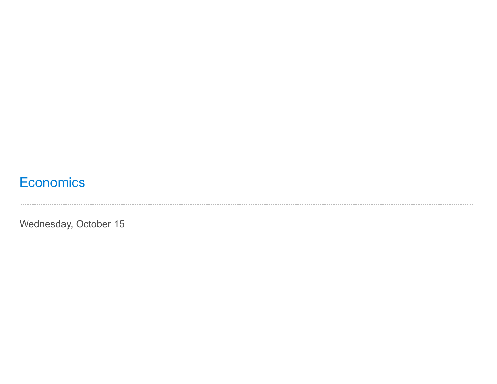# **Economics**

Wednesday, October 15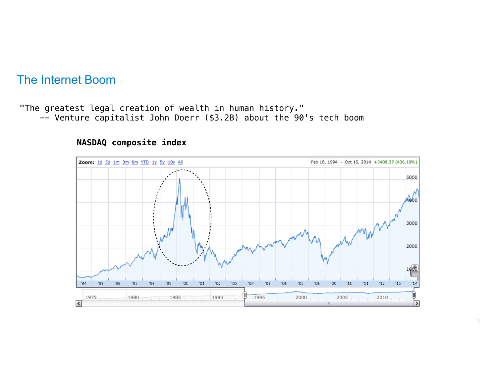# The Internet Boom

"The greatest legal creation of wealth in human history." -- Venture capitalist John Doerr (\$3.2B) about the 90's tech boom

#### **NASDAQ composite index**

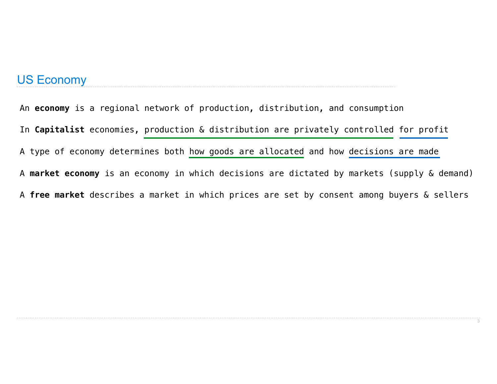#### US Economy

An **economy** is a regional network of production, distribution, and consumption In **Capitalist** economies, production & distribution are privately controlled for profit A type of economy determines both how goods are allocated and how decisions are made A **market economy** is an economy in which decisions are dictated by markets (supply & demand) A **free market** describes a market in which prices are set by consent among buyers & sellers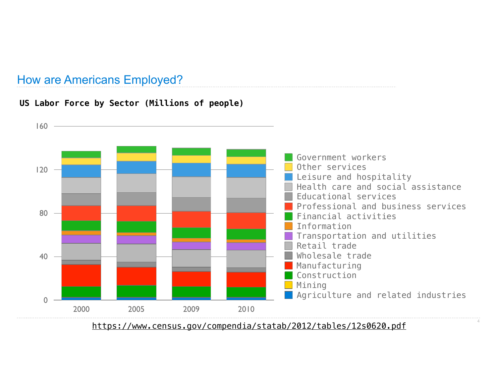# How are Americans Employed?

#### **US Labor Force by Sector (Millions of people)**



https://www.census.gov/compendia/statab/2012/tables/12s0620.pdf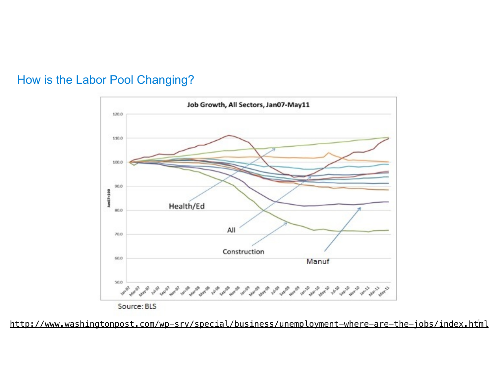### How is the Labor Pool Changing?





http://www.washingtonpost.com/wp-srv/special/business/unemployment-where-are-the-jobs/index.html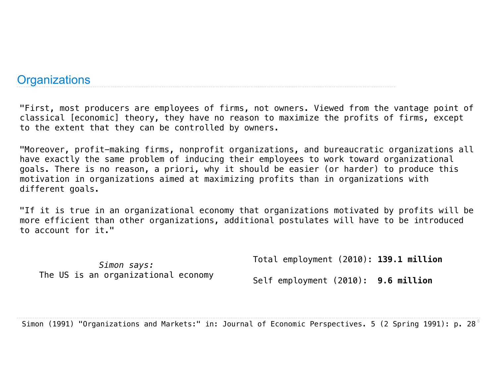#### **Organizations**

"First, most producers are employees of firms, not owners. Viewed from the vantage point of classical [economic] theory, they have no reason to maximize the profits of firms, except to the extent that they can be controlled by owners.

"Moreover, profit-making firms, nonprofit organizations, and bureaucratic organizations all have exactly the same problem of inducing their employees to work toward organizational goals. There is no reason, a priori, why it should be easier (or harder) to produce this motivation in organizations aimed at maximizing profits than in organizations with different goals.

"If it is true in an organizational economy that organizations motivated by profits will be more efficient than other organizations, additional postulates will have to be introduced to account for it."

*Simon says:* The US is an organizational economy Total employment (2010): **139.1 million**

Self employment (2010): **9.6 million**

Simon (1991) "Organizations and Markets:" in: Journal of Economic Perspectives. 5 (2 Spring 1991): p. 28 $^\circ$